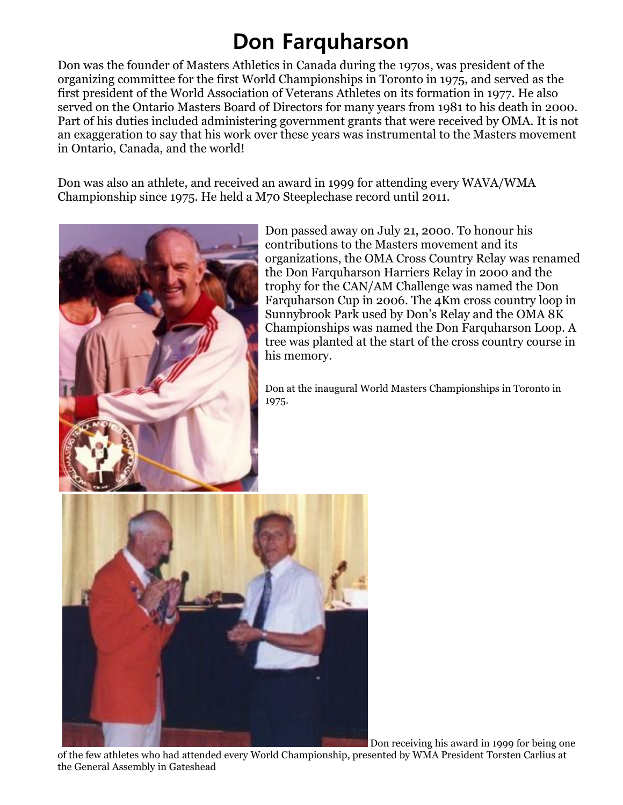## **Don Farquharson**

Don was the founder of Masters Athletics in Canada during the 1970s, was president of the organizing committee for the first World Championships in Toronto in 1975, and served as the first president of the World Association of Veterans Athletes on its formation in 1977. He also served on the Ontario Masters Board of Directors for many years from 1981 to his death in 2000. Part of his duties included administering government grants that were received by OMA. It is not an exaggeration to say that his work over these years was instrumental to the Masters movement in Ontario, Canada, and the world!

Don was also an athlete, and received an award in 1999 for attending every WAVA/WMA Championship since 1975. He held a M70 Steeplechase record until 2011.



Don passed away on July 21, 2000. To honour his contributions to the Masters movement and its organizations, the OMA Cross Country Relay was renamed the Don Farquharson Harriers Relay in 2000 and the trophy for the CAN/AM Challenge was named the Don Farquharson Cup in 2006. The 4Km cross country loop in Sunnybrook Park used by Don's Relay and the OMA 8K Championships was named the Don Farquharson Loop. A tree was planted at the start of the cross country course in his memory.

Don at the inaugural World Masters Championships in Toronto in 1975.



Don receiving his award in 1999 for being one

of the few athletes who had attended every World Championship, presented by WMA President Torsten Carlius at the General Assembly in Gateshead